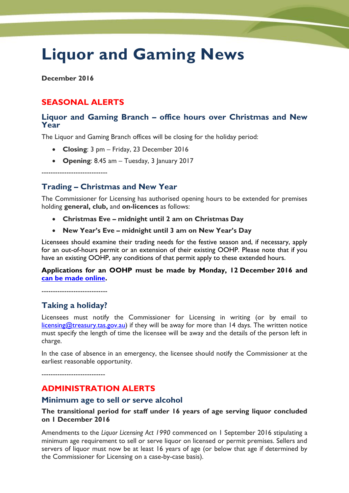# **Liquor and Gaming News**

**December 2016**

## **SEASONAL ALERTS**

## **Liquor and Gaming Branch – office hours over Christmas and New Year**

The Liquor and Gaming Branch offices will be closing for the holiday period:

- **Closing**: 3 pm Friday, 23 December 2016
- **Opening**: 8.45 am Tuesday, 3 January 2017

-----------------------------

## **Trading – Christmas and New Year**

The Commissioner for Licensing has authorised opening hours to be extended for premises holding **general, club,** and **on-licences** as follows:

- **Christmas Eve – midnight until 2 am on Christmas Day**
- **New Year's Eve – midnight until 3 am on New Year's Day**

Licensees should examine their trading needs for the festive season and, if necessary, apply for an out-of-hours permit or an extension of their existing OOHP. Please note that if you have an existing OOHP, any conditions of that permit apply to these extended hours.

#### **Applications for an OOHP must be made by Monday, 12 December 2016 and [can be made online.](http://www.treasury.tas.gov.au/domino/dtf/dtf.nsf/6044ee0c1cf958a2ca256f2500108bba/7d0b72aa56acca38ca257d8200177259?OpenDocument)**

-----------------------------

## **Taking a holiday?**

Licensees must notify the Commissioner for Licensing in writing (or by email to [licensing@treasury.tas.gov.au\)](mailto:licensing@treasury.tas.gov.au) if they will be away for more than 14 days. The written notice must specify the length of time the licensee will be away and the details of the person left in charge.

In the case of absence in an emergency, the licensee should notify the Commissioner at the earliest reasonable opportunity.

----------------------------

## **ADMINISTRATION ALERTS**

#### **Minimum age to sell or serve alcohol**

**The transitional period for staff under 16 years of age serving liquor concluded on 1 December 2016**

Amendments to the *Liquor Licensing Act 1990* commenced on 1 September 2016 stipulating a minimum age requirement to sell or serve liquor on licensed or permit premises. Sellers and servers of liquor must now be at least 16 years of age (or below that age if determined by the Commissioner for Licensing on a case-by-case basis).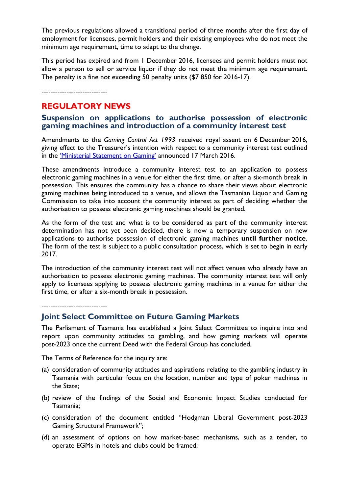The previous regulations allowed a transitional period of three months after the first day of employment for licensees, permit holders and their existing employees who do not meet the minimum age requirement, time to adapt to the change.

This period has expired and from 1 December 2016, licensees and permit holders must not allow a person to sell or service liquor if they do not meet the minimum age requirement. The penalty is a fine not exceeding 50 penalty units (\$7 850 for 2016-17).

-----------------------------

## **REGULATORY NEWS**

### **Suspension on applications to authorise possession of electronic gaming machines and introduction of a community interest test**

Amendments to the *Gaming Control Act 1993* received royal assent on 6 December 2016, giving effect to the Treasurer's intention with respect to a community interest test outlined in the ['Ministerial Statement on Gaming'](http://www.premier.tas.gov.au/releases/ministerial_statement_on_gaminghttp:/www.premier.tas.gov.au/releases/ministerial_statement_on_gaming) announced 17 March 2016.

These amendments introduce a community interest test to an application to possess electronic gaming machines in a venue for either the first time, or after a six-month break in possession. This ensures the community has a chance to share their views about electronic gaming machines being introduced to a venue, and allows the Tasmanian Liquor and Gaming Commission to take into account the community interest as part of deciding whether the authorisation to possess electronic gaming machines should be granted.

As the form of the test and what is to be considered as part of the community interest determination has not yet been decided, there is now a temporary suspension on new applications to authorise possession of electronic gaming machines **until further notice**. The form of the test is subject to a public consultation process, which is set to begin in early 2017.

The introduction of the community interest test will not affect venues who already have an authorisation to possess electronic gaming machines. The community interest test will only apply to licensees applying to possess electronic gaming machines in a venue for either the first time, or after a six-month break in possession.

-----------------------------

## **Joint Select Committee on Future Gaming Markets**

The Parliament of Tasmania has established a Joint Select Committee to inquire into and report upon community attitudes to gambling, and how gaming markets will operate post-2023 once the current Deed with the Federal Group has concluded.

The Terms of Reference for the inquiry are:

- (a) consideration of community attitudes and aspirations relating to the gambling industry in Tasmania with particular focus on the location, number and type of poker machines in the State;
- (b) review of the findings of the Social and Economic Impact Studies conducted for Tasmania;
- (c) consideration of the document entitled "Hodgman Liberal Government post-2023 Gaming Structural Framework";
- (d) an assessment of options on how market-based mechanisms, such as a tender, to operate EGMs in hotels and clubs could be framed;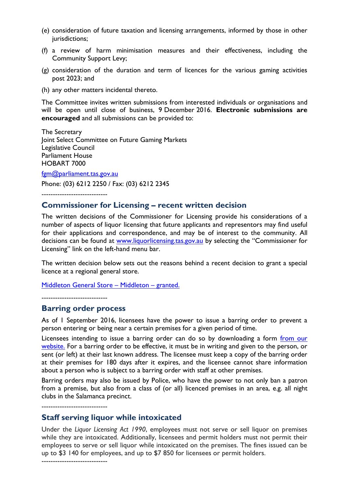- (e) consideration of future taxation and licensing arrangements, informed by those in other jurisdictions;
- (f) a review of harm minimisation measures and their effectiveness, including the Community Support Levy;
- (g) consideration of the duration and term of licences for the various gaming activities post 2023; and
- (h) any other matters incidental thereto.

The Committee invites written submissions from interested individuals or organisations and will be open until close of business, 9 December 2016. **Electronic submissions are encouraged** and all submissions can be provided to:

The Secretary Joint Select Committee on Future Gaming Markets Legislative Council Parliament House HOBART 7000

[fgm@parliament.tas.gov.au](mailto:fgm@parliament.tas.gov.au) Phone: (03) 6212 2250 / Fax: (03) 6212 2345

-----------------------------

#### **Commissioner for Licensing – recent written decision**

The written decisions of the Commissioner for Licensing provide his considerations of a number of aspects of liquor licensing that future applicants and representors may find useful for their applications and correspondence, and may be of interest to the community. All decisions can be found at [www.liquorlicensing.tas.gov.au](http://www.liquorlicensing.tas.gov.au/) by selecting the "Commissioner for Licensing" link on the left-hand menu bar.

The written decision below sets out the reasons behind a recent decision to grant a special licence at a regional general store.

[Middleton General Store](http://www.liquorlicensing.tas.gov.au/domino/dtf/dtf.nsf/LookupFiles/decisionMiddletonGeneralStore.pdf/$file/decisionMiddletonGeneralStore.pdf) – Middleton – granted.

-----------------------------

#### **Barring order process**

As of 1 September 2016, licensees have the power to issue a barring order to prevent a person entering or being near a certain premises for a given period of time.

Licensees intending to issue a barring order can do so by downloading a form from our [website.](http://www.treasury.tas.gov.au/domino/dtf/dtf.nsf/LookupFiles/Barringorderformforlicenseesandpermitholders.pdf/$file/Barringorderformforlicenseesandpermitholders.pdf) For a barring order to be effective, it must be in writing and given to the person, or sent (or left) at their last known address. The licensee must keep a copy of the barring order at their premises for 180 days after it expires, and the licensee cannot share information about a person who is subject to a barring order with staff at other premises.

Barring orders may also be issued by Police, who have the power to not only ban a patron from a premise, but also from a class of (or all) licenced premises in an area, e.g. all night clubs in the Salamanca precinct.

-----------------------------

#### **Staff serving liquor while intoxicated**

Under the *Liquor Licensing Act 1990*, employees must not serve or sell liquor on premises while they are intoxicated. Additionally, licensees and permit holders must not permit their employees to serve or sell liquor while intoxicated on the premises. The fines issued can be up to \$3 140 for employees, and up to \$7 850 for licensees or permit holders.

-----------------------------